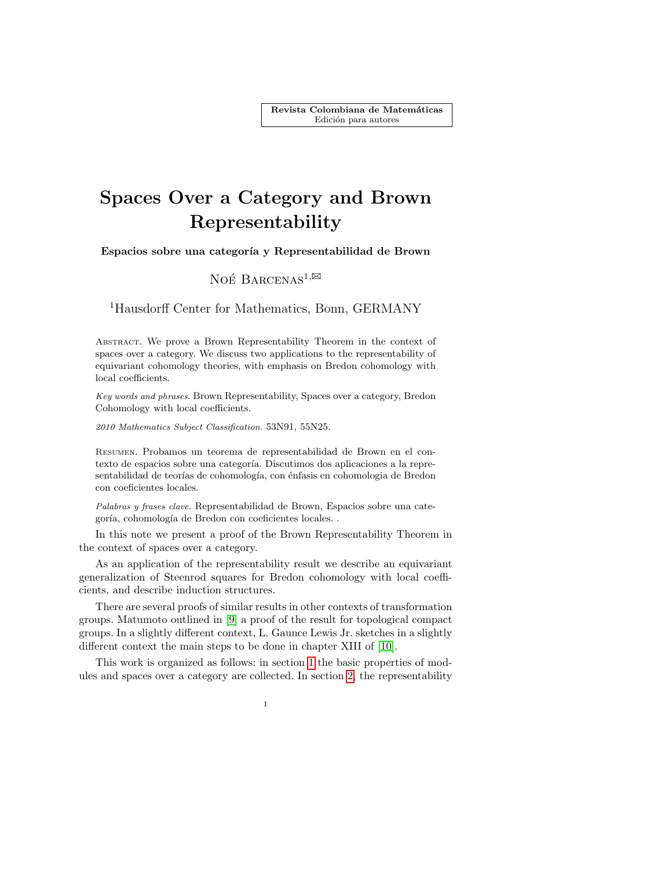Revista Colombiana de Matemáticas Edición para autores

# Spaces Over a Category and Brown Representability

Espacios sobre una categoría y Representabilidad de Brown

## NOÉ BARCENAS<sup>1, $\boxtimes$ </sup>

### <sup>1</sup>Hausdorff Center for Mathematics, Bonn, GERMANY

Abstract. We prove a Brown Representability Theorem in the context of spaces over a category. We discuss two applications to the representability of equivariant cohomology theories, with emphasis on Bredon cohomology with local coefficients.

Key words and phrases. Brown Representability, Spaces over a category, Bredon Cohomology with local coefficients.

2010 Mathematics Subject Classification. 53N91, 55N25.

Resumen. Probamos un teorema de representabilidad de Brown en el contexto de espacios sobre una categoría. Discutimos dos aplicaciones a la representabilidad de teorías de cohomología, con énfasis en cohomología de Bredon con coeficientes locales.

Palabras y frases clave. Representabilidad de Brown, Espacios sobre una categoría, cohomología de Bredon con coeficientes locales. .

In this note we present a proof of the Brown Representability Theorem in the context of spaces over a category.

As an application of the representability result we describe an equivariant generalization of Steenrod squares for Bredon cohomology with local coefficients, and describe induction structures.

There are several proofs of similar results in other contexts of transformation groups. Matumoto outlined in [\[9\]](#page-18-0) a proof of the result for topological compact groups. In a slightly different context, L. Gaunce Lewis Jr. sketches in a slightly different context the main steps to be done in chapter XIII of [\[10\]](#page-18-1).

This work is organized as follows: in section [1](#page-1-0) the basic properties of modules and spaces over a category are collected. In section [2,](#page-6-0) the representability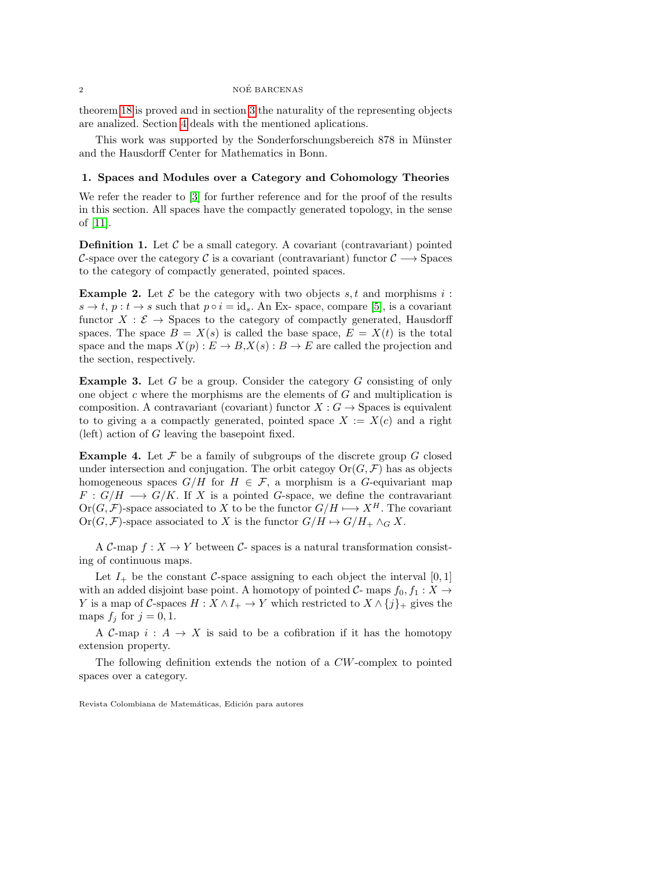theorem [18](#page-6-1) is proved and in section [3](#page-11-0) the naturality of the representing objects are analized. Section [4](#page-13-0) deals with the mentioned aplications.

This work was supported by the Sonderforschungsbereich 878 in Münster and the Hausdorff Center for Mathematics in Bonn.

#### <span id="page-1-0"></span>1. Spaces and Modules over a Category and Cohomology Theories

We refer the reader to [\[3\]](#page-18-2) for further reference and for the proof of the results in this section. All spaces have the compactly generated topology, in the sense of [\[11\]](#page-18-3).

**Definition 1.** Let  $\mathcal{C}$  be a small category. A covariant (contravariant) pointed C-space over the category C is a covariant (contravariant) functor  $C \longrightarrow$  Spaces to the category of compactly generated, pointed spaces.

<span id="page-1-3"></span>**Example 2.** Let  $\mathcal{E}$  be the category with two objects s, t and morphisms i:  $s \to t$ ,  $p : t \to s$  such that  $p \circ i = id_s$ . An Ex-space, compare [\[5\]](#page-18-4), is a covariant functor  $X : \mathcal{E} \to \mathbb{S}$  paces to the category of compactly generated, Hausdorff spaces. The space  $B = X(s)$  is called the base space,  $E = X(t)$  is the total space and the maps  $X(p): E \to B, X(s): B \to E$  are called the projection and the section, respectively.

<span id="page-1-2"></span>Example 3. Let G be a group. Consider the category G consisting of only one object c where the morphisms are the elements of  $G$  and multiplication is composition. A contravariant (covariant) functor  $X: G \to \mathcal{S}$  paces is equivalent to to giving a a compactly generated, pointed space  $X := X(c)$  and a right (left) action of G leaving the basepoint fixed.

<span id="page-1-1"></span>**Example 4.** Let  $\mathcal F$  be a family of subgroups of the discrete group  $G$  closed under intersection and conjugation. The orbit categoy  $\text{Or}(G,\mathcal{F})$  has as objects homogeneous spaces  $G/H$  for  $H \in \mathcal{F}$ , a morphism is a G-equivariant map  $F: G/H \longrightarrow G/K$ . If X is a pointed G-space, we define the contravariant  $Or(G, \mathcal{F})$ -space associated to X to be the functor  $G/H \longrightarrow X^H$ . The covariant Or $(G, \mathcal{F})$ -space associated to X is the functor  $G/H \mapsto G/H_+ \wedge_G X$ .

A C-map  $f: X \to Y$  between C- spaces is a natural transformation consisting of continuous maps.

Let  $I_+$  be the constant C-space assigning to each object the interval [0, 1] with an added disjoint base point. A homotopy of pointed  $C$ - maps  $f_0, f_1 : X \rightarrow$ Y is a map of C-spaces  $H : X \wedge I_+ \to Y$  which restricted to  $X \wedge \{j\}_+$  gives the maps  $f_j$  for  $j = 0, 1$ .

A C-map  $i : A \rightarrow X$  is said to be a cofibration if it has the homotopy extension property.

The following definition extends the notion of a CW-complex to pointed spaces over a category.

Revista Colombiana de Matemáticas, Edición para autores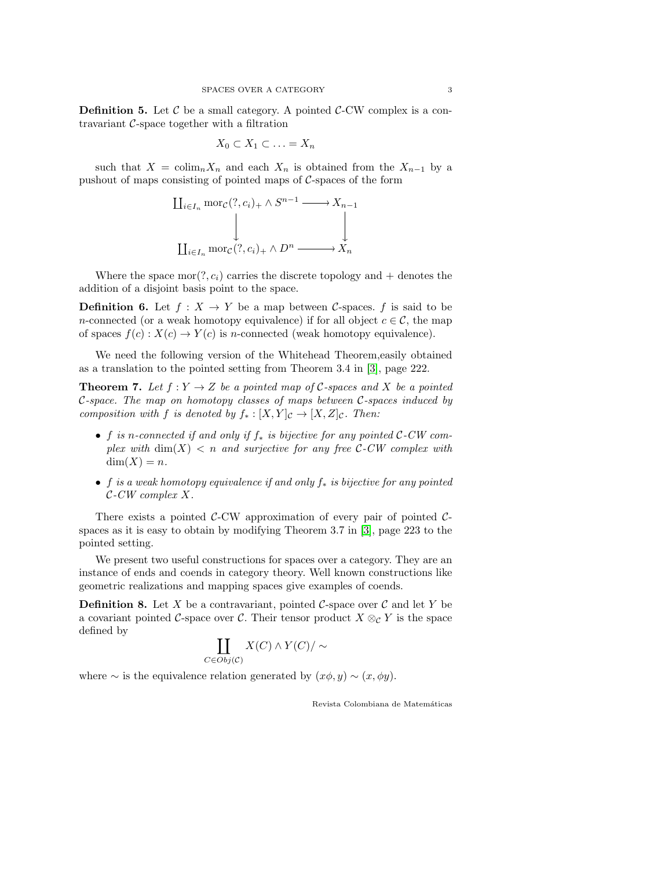**Definition 5.** Let  $\mathcal{C}$  be a small category. A pointed  $\mathcal{C}\text{-CW}$  complex is a contravariant C-space together with a filtration

$$
X_0 \subset X_1 \subset \ldots = X_n
$$

such that  $X = \text{colim}_n X_n$  and each  $X_n$  is obtained from the  $X_{n-1}$  by a pushout of maps consisting of pointed maps of  $C$ -spaces of the form

$$
\coprod_{i \in I_n} \text{mor}_{\mathcal{C}}(?, c_i)_+ \wedge S^{n-1} \longrightarrow X_{n-1}
$$
\n
$$
\downarrow \qquad \qquad \downarrow
$$
\n
$$
\coprod_{i \in I_n} \text{mor}_{\mathcal{C}}(?, c_i)_+ \wedge D^n \longrightarrow X_n
$$

Where the space  $mor(?, c_i)$  carries the discrete topology and + denotes the addition of a disjoint basis point to the space.

**Definition 6.** Let  $f : X \to Y$  be a map between C-spaces. f is said to be n-connected (or a weak homotopy equivalence) if for all object  $c \in \mathcal{C}$ , the map of spaces  $f(c): X(c) \to Y(c)$  is n-connected (weak homotopy equivalence).

We need the following version of the Whitehead Theorem,easily obtained as a translation to the pointed setting from Theorem 3.4 in [\[3\]](#page-18-2), page 222.

<span id="page-2-0"></span>**Theorem 7.** Let  $f: Y \to Z$  be a pointed map of C-spaces and X be a pointed C-space. The map on homotopy classes of maps between C-spaces induced by composition with f is denoted by  $f_* : [X, Y]_{\mathcal{C}} \to [X, Z]_{\mathcal{C}}$ . Then:

- f is n-connected if and only if  $f_*$  is bijective for any pointed C-CW complex with  $\dim(X)$  < n and surjective for any free C-CW complex with  $dim(X) = n$ .
- f is a weak homotopy equivalence if and only  $f_*$  is bijective for any pointed C-CW complex X.

There exists a pointed  $C$ -CW approximation of every pair of pointed  $C$ spaces as it is easy to obtain by modifying Theorem 3.7 in [\[3\]](#page-18-2), page 223 to the pointed setting.

We present two useful constructions for spaces over a category. They are an instance of ends and coends in category theory. Well known constructions like geometric realizations and mapping spaces give examples of coends.

**Definition 8.** Let X be a contravariant, pointed C-space over C and let Y be a covariant pointed C-space over C. Their tensor product  $X \otimes_{\mathcal{C}} Y$  is the space defined by

$$
\coprod_{C \in Obj(C)} X(C) \wedge Y(C) / \sim
$$

where  $\sim$  is the equivalence relation generated by  $(x\phi, y) \sim (x, \phi y)$ .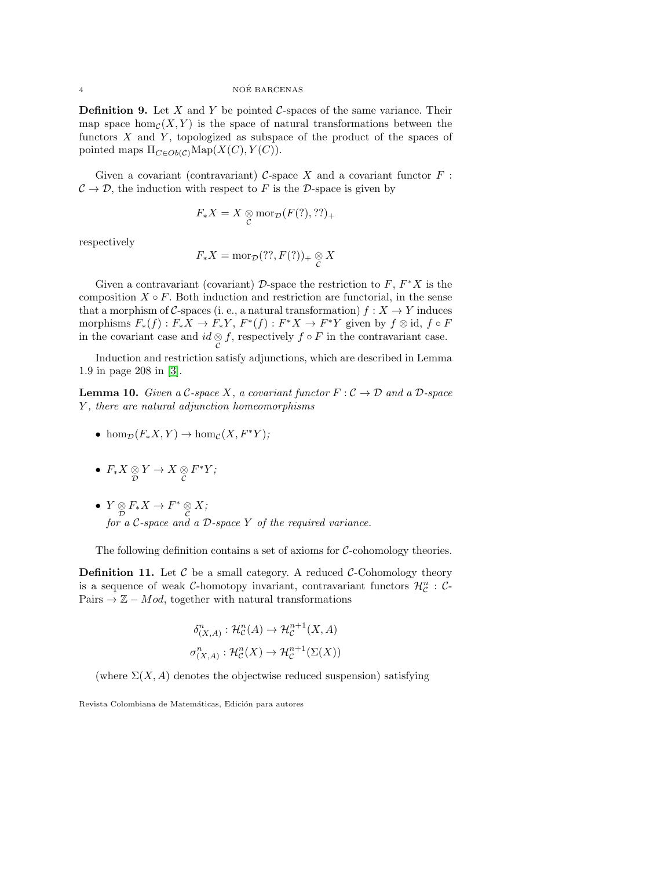**Definition 9.** Let  $X$  and  $Y$  be pointed  $C$ -spaces of the same variance. Their map space  $hom_{\mathcal{C}}(X, Y)$  is the space of natural transformations between the functors  $X$  and  $Y$ , topologized as subspace of the product of the spaces of pointed maps  $\Pi_{C\in Ob(\mathcal{C})}\text{Map}(X(C), Y(C)).$ 

Given a covariant (contravariant)  $C$ -space  $X$  and a covariant functor  $F$ :  $\mathcal{C} \to \mathcal{D}$ , the induction with respect to F is the D-space is given by

$$
F_*X = X \underset{\mathcal{C}}{\otimes} \operatorname{mor}_{\mathcal{D}}(F(?), ??)_+
$$

respectively

$$
F_*X = \mathrm{mor}_{\mathcal{D}}(??, F(?))_+ \underset{\mathcal{C}}{\otimes} X
$$

Given a contravariant (covariant)  $\mathcal{D}$ -space the restriction to  $F, F^*X$  is the composition  $X \circ F$ . Both induction and restriction are functorial, in the sense that a morphism of C-spaces (i. e., a natural transformation)  $f: X \to Y$  induces morphisms  $F_*(f) : F_*X \to F_*Y$ ,  $F^*(f) : F^*X \to F^*Y$  given by  $f \otimes id$ ,  $f \circ F$ in the covariant case and  $id \underset{C}{\otimes} f$ , respectively  $f \circ F$  in the contravariant case.

Induction and restriction satisfy adjunctions, which are described in Lemma 1.9 in page 208 in [\[3\]](#page-18-2).

<span id="page-3-1"></span>**Lemma 10.** Given a C-space X, a covariant functor  $F: \mathcal{C} \to \mathcal{D}$  and a D-space Y , there are natural adjunction homeomorphisms

- hom $\mathcal{D}(F_*X, Y) \to \text{hom}_{\mathcal{C}}(X, F^*Y);$
- $F_* X \underset{\mathcal{D}}{\otimes} Y \to X \underset{\mathcal{C}}{\otimes} F^* Y;$
- $Y \underset{\mathcal{D}}{\otimes} F_*X \to F^* \underset{\mathcal{C}}{\otimes} X;$ for a  $C$ -space and a  $D$ -space  $Y$  of the required variance.

The following definition contains a set of axioms for  $C$ -cohomology theories.

<span id="page-3-0"></span>**Definition 11.** Let  $\mathcal C$  be a small category. A reduced  $\mathcal C$ -Cohomology theory is a sequence of weak C-homotopy invariant, contravariant functors  $\mathcal{H}_{\mathcal{C}}^{n}$  : C-Pairs  $\rightarrow \mathbb{Z} - Mod$ , together with natural transformations

$$
\delta^n_{(X,A)} : \mathcal{H}^n_{\mathcal{C}}(A) \to \mathcal{H}^{n+1}_{\mathcal{C}}(X,A)
$$
  

$$
\sigma^n_{(X,A)} : \mathcal{H}^n_{\mathcal{C}}(X) \to \mathcal{H}^{n+1}_{\mathcal{C}}(\Sigma(X))
$$

(where  $\Sigma(X, A)$  denotes the objectwise reduced suspension) satisfying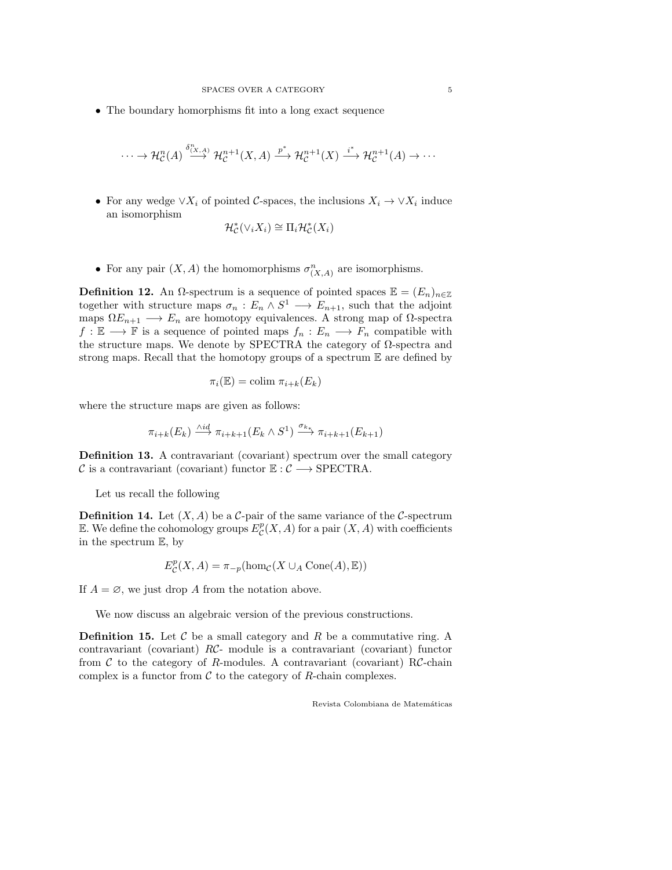• The boundary homorphisms fit into a long exact sequence

 $\cdots \to \mathcal{H}_\mathcal{C}^n(A) \stackrel{\delta^n_{(X,A)}}{\longrightarrow} \mathcal{H}_\mathcal{C}^{n+1}(X,A) \stackrel{p^*}{\longrightarrow} \mathcal{H}_\mathcal{C}^{n+1}(X) \stackrel{i^*}{\longrightarrow} \mathcal{H}_\mathcal{C}^{n+1}(A) \to \cdots$ 

• For any wedge  $\vee X_i$  of pointed C-spaces, the inclusions  $X_i \to \vee X_i$  induce an isomorphism

$$
\mathcal{H}_{\mathcal{C}}^*(\vee_i X_i) \cong \Pi_i \mathcal{H}_{\mathcal{C}}^*(X_i)
$$

• For any pair  $(X, A)$  the homomorphisms  $\sigma_{(X, A)}^n$  are isomorphisms.

**Definition 12.** An  $\Omega$ -spectrum is a sequence of pointed spaces  $\mathbb{E} = (E_n)_{n \in \mathbb{Z}}$ together with structure maps  $\sigma_n : E_n \wedge S^1 \longrightarrow E_{n+1}$ , such that the adjoint maps  $\Omega E_{n+1} \longrightarrow E_n$  are homotopy equivalences. A strong map of  $\Omega$ -spectra  $f: \mathbb{E} \longrightarrow \mathbb{F}$  is a sequence of pointed maps  $f_n: E_n \longrightarrow F_n$  compatible with the structure maps. We denote by SPECTRA the category of  $\Omega$ -spectra and strong maps. Recall that the homotopy groups of a spectrum E are defined by

$$
\pi_i(\mathbb{E}) = \text{colim } \pi_{i+k}(E_k)
$$

where the structure maps are given as follows:

$$
\pi_{i+k}(E_k) \xrightarrow{\wedge id} \pi_{i+k+1}(E_k \wedge S^1) \xrightarrow{\sigma_{k}} \pi_{i+k+1}(E_{k+1})
$$

Definition 13. A contravariant (covariant) spectrum over the small category C is a contravariant (covariant) functor  $\mathbb{E}: \mathcal{C} \longrightarrow \text{SPECTRA}.$ 

Let us recall the following

**Definition 14.** Let  $(X, A)$  be a C-pair of the same variance of the C-spectrum E. We define the cohomology groups  $E_{\mathcal{C}}^p(X, A)$  for a pair  $(X, A)$  with coefficients in the spectrum E, by

$$
E_{\mathcal{C}}^{p}(X, A) = \pi_{-p}(\hom_{\mathcal{C}}(X \cup_{A} \text{Cone}(A), \mathbb{E}))
$$

If  $A = \emptyset$ , we just drop A from the notation above.

We now discuss an algebraic version of the previous constructions.

**Definition 15.** Let  $\mathcal{C}$  be a small category and  $R$  be a commutative ring. A contravariant (covariant) RC- module is a contravariant (covariant) functor from  $\mathcal C$  to the category of R-modules. A contravariant (covariant) RC-chain complex is a functor from  $\mathcal C$  to the category of  $R$ -chain complexes.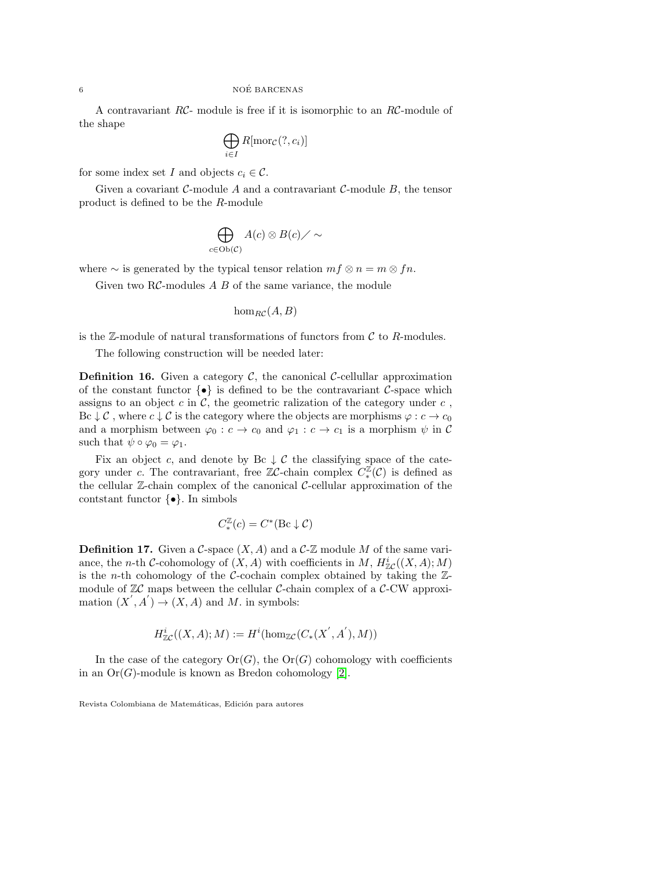A contravariant RC- module is free if it is isomorphic to an RC-module of the shape

$$
\bigoplus_{i\in I} R[\mathrm{mor}_{\mathcal{C}}(?, c_i)]
$$

for some index set I and objects  $c_i \in \mathcal{C}$ .

Given a covariant  $\mathcal{C}\text{-module }A$  and a contravariant  $\mathcal{C}\text{-module }B$ , the tensor product is defined to be the R-module

$$
\bigoplus_{c\in\mathrm{Ob}(\mathcal{C})}A(c)\otimes B(c)\diagup\sim
$$

where  $\sim$  is generated by the typical tensor relation  $mf \otimes n = m \otimes fn$ .

Given two  $R\mathcal{C}$ -modules  $A \, B$  of the same variance, the module

 $hom_{BC}(A, B)$ 

is the  $\mathbb{Z}\text{-module}$  of natural transformations of functors from C to R-modules.

The following construction will be needed later:

**Definition 16.** Given a category  $\mathcal{C}$ , the canonical  $\mathcal{C}$ -cellullar approximation of the constant functor  $\{\bullet\}$  is defined to be the contravariant C-space which assigns to an object c in  $\mathcal{C}$ , the geometric ralization of the category under c, Bc  $\downarrow$  C, where  $c \downarrow$  C is the category where the objects are morphisms  $\varphi : c \to c_0$ and a morphism between  $\varphi_0 : c \to c_0$  and  $\varphi_1 : c \to c_1$  is a morphism  $\psi$  in C such that  $\psi \circ \varphi_0 = \varphi_1$ .

Fix an object c, and denote by Bc  $\downarrow$  C the classifying space of the category under c. The contravariant, free  $\mathbb{Z}C$ -chain complex  $C_*^{\mathbb{Z}}(\mathcal{C})$  is defined as the cellular  $\mathbb{Z}$ -chain complex of the canonical  $\mathcal{C}$ -cellular approximation of the contstant functor  $\{\bullet\}$ . In simbols

$$
C_*^{\mathbb{Z}}(c) = C^*(\mathrm{Bc}\downarrow \mathcal{C})
$$

**Definition 17.** Given a C-space  $(X, A)$  and a C-Z module M of the same variance, the *n*-th *C*-cohomology of  $(X, A)$  with coefficients in M,  $H^i_{\mathbb{Z}C}((X, A); M)$ is the *n*-th cohomology of the *C*-cochain complex obtained by taking the  $\mathbb{Z}$ module of  $\mathbb{Z}C$  maps between the cellular C-chain complex of a C-CW approximation  $(X', A') \to (X, A)$  and M. in symbols:

$$
H^i_{\mathbb{Z} \mathcal{C}}((X, A); M) := H^i(\hom_{\mathbb{Z} \mathcal{C}}(C_*(X^{'}, A^{'}), M))
$$

In the case of the category  $\text{Or}(G)$ , the  $\text{Or}(G)$  cohomology with coefficients in an  $Or(G)$ -module is known as Bredon cohomology [\[2\]](#page-18-5).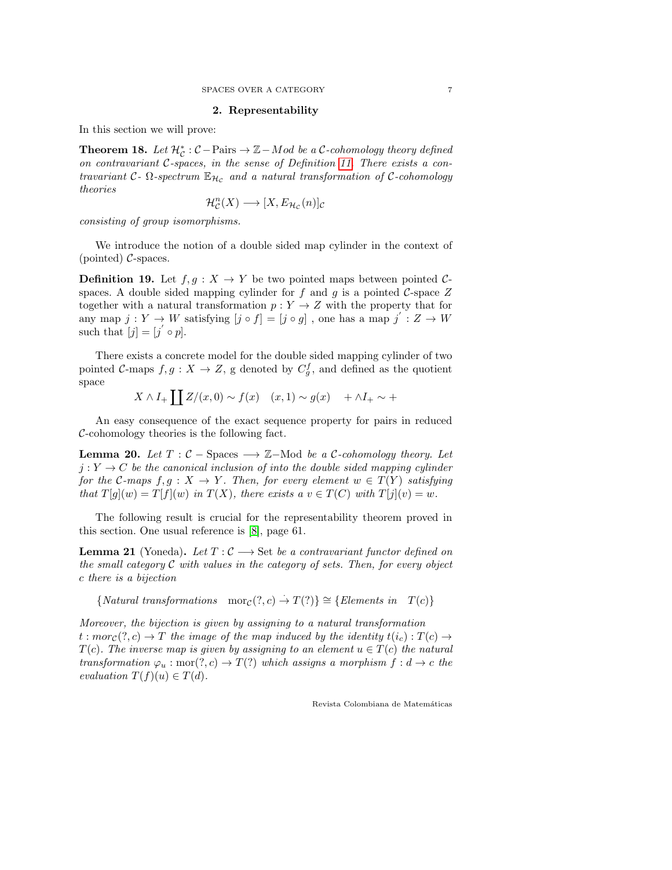#### 2. Representability

<span id="page-6-0"></span>In this section we will prove:

<span id="page-6-1"></span>**Theorem 18.** Let  $\mathcal{H}_c^*$ :  $\mathcal{C}-\text{Pairs} \to \mathbb{Z}-Mod$  be a  $\mathcal{C}\text{-cohomology}$  theory defined on contravariant C-spaces, in the sense of Definition [11.](#page-3-0) There exists a contravariant  $C$ -  $\Omega$ -spectrum  $\mathbb{E}_{H_c}$  and a natural transformation of  $C$ -cohomology theories

$$
\mathcal{H}_\mathcal{C}^n(X) \longrightarrow [X, E_{\mathcal{H}_\mathcal{C}}(n)]_\mathcal{C}
$$

consisting of group isomorphisms.

We introduce the notion of a double sided map cylinder in the context of (pointed)  $C$ -spaces.

**Definition 19.** Let  $f, g: X \to Y$  be two pointed maps between pointed Cspaces. A double sided mapping cylinder for f and g is a pointed C-space  $Z$ together with a natural transformation  $p: Y \to Z$  with the property that for any map  $j: Y \to W$  satisfying  $[j \circ f] = [j \circ g]$ , one has a map  $j' : Z \to W$ such that  $[j] = [j' \circ p]$ .

There exists a concrete model for the double sided mapping cylinder of two pointed C-maps  $f, g: X \to Z$ , g denoted by  $C_g^f$ , and defined as the quotient space

$$
X \wedge I_+ \coprod Z/(x,0) \sim f(x) \quad (x,1) \sim g(x) \quad + \wedge I_+ \sim +
$$

An easy consequence of the exact sequence property for pairs in reduced C-cohomology theories is the following fact.

<span id="page-6-2"></span>**Lemma 20.** Let  $T : \mathcal{C}$  – Spaces  $\longrightarrow \mathbb{Z}$ –Mod be a C-cohomology theory. Let  $j: Y \to C$  be the canonical inclusion of into the double sided mapping cylinder for the C-maps  $f, g: X \to Y$ . Then, for every element  $w \in T(Y)$  satisfying that  $T[g](w) = T[f](w)$  in  $T(X)$ , there exists a  $v \in T(C)$  with  $T[j](v) = w$ .

The following result is crucial for the representability theorem proved in this section. One usual reference is [\[8\]](#page-18-6), page 61.

**Lemma 21** (Yoneda). Let  $T: \mathcal{C} \longrightarrow \mathbb{S}$ et be a contravariant functor defined on the small category C with values in the category of sets. Then, for every object c there is a bijection

{Natural transformations  $\text{mor}_\mathcal{C}(?, c) \to T(?)$ }  $\cong$  {Elements in  $T(c)$ }

Moreover, the bijection is given by assigning to a natural transformation  $t: mor_{\mathcal{C}}(?, c) \to T$  the image of the map induced by the identity  $t(i_c): T(c) \to T$  $T(c)$ . The inverse map is given by assigning to an element  $u \in T(c)$  the natural transformation  $\varphi_u : \text{mor}(?, c) \to T(?)$  which assigns a morphism  $f : d \to c$  the evaluation  $T(f)(u) \in T(d)$ .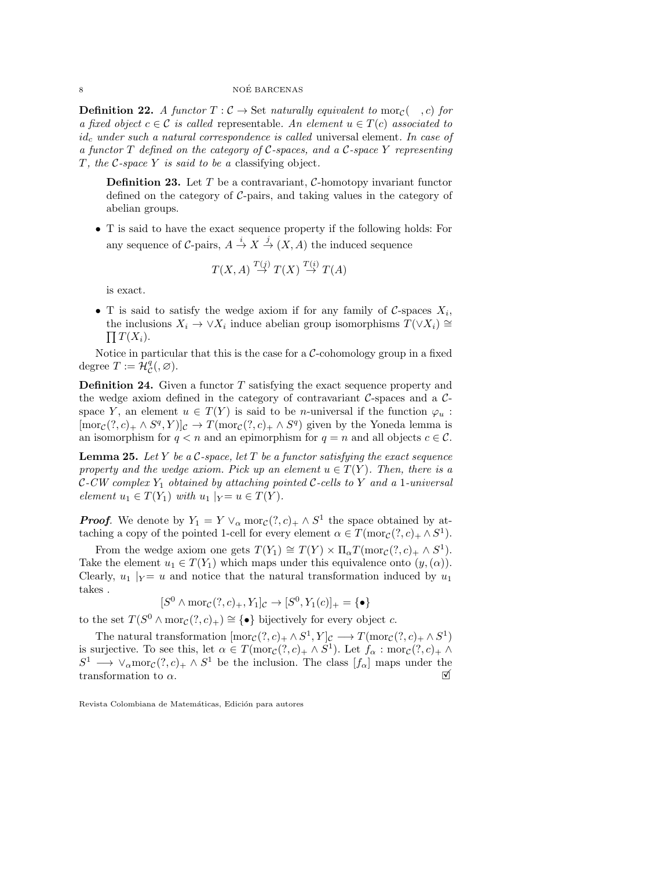#### 8 NOÉ BARCENAS

**Definition 22.** A functor  $T : \mathcal{C} \to \mathbb{S}$ et naturally equivalent to mor<sub>C</sub>( $\cdot$ , c) for a fixed object  $c \in \mathcal{C}$  is called representable. An element  $u \in T(c)$  associated to  $id_c$  under such a natural correspondence is called universal element. In case of a functor  $T$  defined on the category of  $C$ -spaces, and a  $C$ -space  $Y$  representing T, the  $C$ -space Y is said to be a classifying object.

**Definition 23.** Let  $T$  be a contravariant,  $C$ -homotopy invariant functor defined on the category of  $C$ -pairs, and taking values in the category of abelian groups.

• T is said to have the exact sequence property if the following holds: For any sequence of C-pairs,  $A \stackrel{i}{\rightarrow} X \stackrel{j}{\rightarrow} (X, A)$  the induced sequence

$$
T(X, A) \stackrel{T(j)}{\to} T(X) \stackrel{T(i)}{\to} T(A)
$$

is exact.

• T is said to satisfy the wedge axiom if for any family of  $C$ -spaces  $X_i$ , the inclusions  $X_i \to \vee X_i$  induce abelian group isomorphisms  $T(\vee X_i) \cong$  $\prod T(X_i).$ 

Notice in particular that this is the case for a  $\mathcal{C}$ -cohomology group in a fixed degree  $T := \mathcal{H}_{\mathcal{C}}^q(0, \varnothing)$ .

**Definition 24.** Given a functor  $T$  satisfying the exact sequence property and the wedge axiom defined in the category of contravariant  $\mathcal{C}\text{-spaces}$  and a  $\mathcal{C}\text{-}$ space Y, an element  $u \in T(Y)$  is said to be *n*-universal if the function  $\varphi_u$ :  $[\text{mor}_{\mathcal{C}}(?, c)_+ \wedge S^q, Y)]_{\mathcal{C}} \to T(\text{mor}_{\mathcal{C}}(?, c)_+ \wedge S^q)$  given by the Yoneda lemma is an isomorphism for  $q < n$  and an epimorphism for  $q = n$  and all objects  $c \in \mathcal{C}$ .

**Lemma 25.** Let Y be a  $\mathcal{C}$ -space, let T be a functor satisfying the exact sequence property and the wedge axiom. Pick up an element  $u \in T(Y)$ . Then, there is a  $\mathcal{C}\text{-}\mathit{CW}$  complex  $Y_1$  obtained by attaching pointed  $\mathcal{C}\text{-}\mathit{cells}$  to  $Y$  and a 1-universal element  $u_1 \in T(Y_1)$  with  $u_1 |_{Y} = u \in T(Y)$ .

**Proof.** We denote by  $Y_1 = Y \vee_{\alpha} \text{mor}_{\mathcal{C}}(?, c)_+ \wedge S^1$  the space obtained by attaching a copy of the pointed 1-cell for every element  $\alpha \in T(\text{mor}_{\mathcal{C}}(?, c)_+ \wedge S^1)$ .

From the wedge axiom one gets  $T(Y_1) \cong T(Y) \times \Pi_\alpha T(\text{mor}_\mathcal{C}(?, c)_+ \wedge S^1)$ . Take the element  $u_1 \in T(Y_1)$  which maps under this equivalence onto  $(y, (\alpha))$ . Clearly,  $u_1 |_{Y} = u$  and notice that the natural transformation induced by  $u_1$ takes .

$$
[S^0 \wedge \text{mor}_{\mathcal{C}}(?, c)_+, Y_1]_{\mathcal{C}} \to [S^0, Y_1(c)]_+ = {\bullet}
$$

to the set  $T(S^0 \wedge \text{mor}_{\mathcal{C}}(?, c)_+) \cong {\{\bullet\}}$  bijectively for every object c.

The natural transformation  $[\text{mor}_{\mathcal{C}}(?, c)_+ \wedge S^1, Y]_{\mathcal{C}} \longrightarrow T(\text{mor}_{\mathcal{C}}(?, c)_+ \wedge S^1)$ is surjective. To see this, let  $\alpha \in T(\text{mor}_{\mathcal{C}}(?, c)_+ \wedge S^1)$ . Let  $f_\alpha : \text{mor}_{\mathcal{C}}(?, c)_+ \wedge S^1$  $S^1 \longrightarrow \vee_{\alpha} \text{mor}_{\mathcal{C}}(?,c)_+ \wedge S^1$  be the inclusion. The class  $[f_{\alpha}]$  maps under the transformation to  $\alpha$ .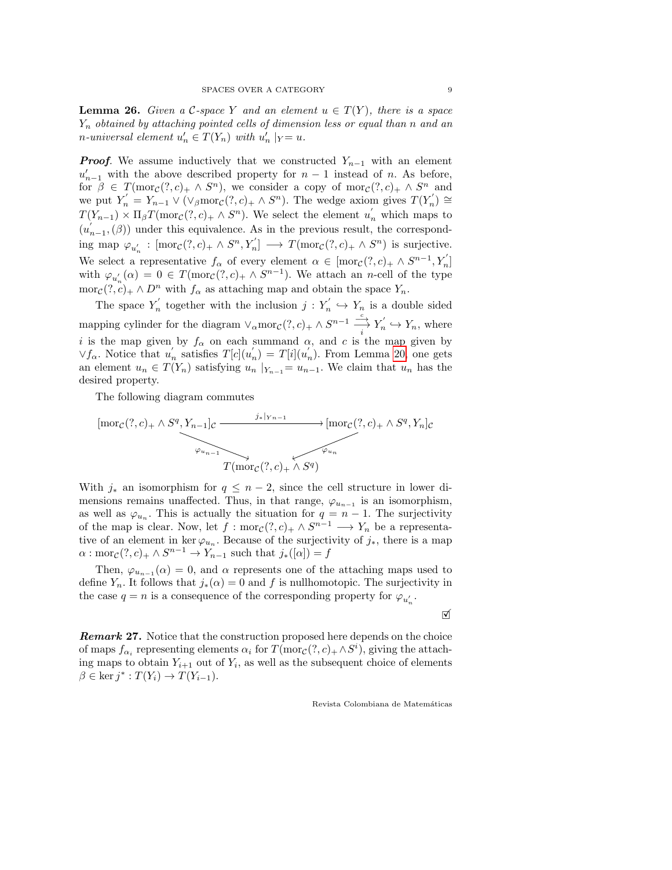<span id="page-8-0"></span>**Lemma 26.** Given a C-space Y and an element  $u \in T(Y)$ , there is a space  $Y_n$  obtained by attaching pointed cells of dimension less or equal than n and an *n*-universal element  $u'_n \in T(Y_n)$  with  $u'_n |_{Y} = u$ .

**Proof.** We assume inductively that we constructed  $Y_{n-1}$  with an element  $u'_{n-1}$  with the above described property for  $n-1$  instead of n. As before, for  $\beta \in T(\text{mor}_{\mathcal{C}}(?, c)_+ \wedge S^n)$ , we consider a copy of  $\text{mor}_{\mathcal{C}}(?, c)_+ \wedge S^n$  and we put  $Y'_n = Y_{n-1} \vee (\vee_{\beta} \text{mor}_{\mathcal{C}}(?, c)_+ \wedge S^n)$ . The wedge axiom gives  $T(Y'_n) \cong T(Y'_n)$  $T(Y_{n-1}) \times \Pi_{\beta} T(\text{mor}_{\mathcal{C}}(?, c)_{+} \wedge S^{n}).$  We select the element  $u'_{n}$  which maps to  $(u'_{n-1},(\beta))$  under this equivalence. As in the previous result, the corresponding map  $\varphi_{u'_n} : [\text{mor}_{\mathcal{C}}(?, c)_+ \wedge S^n, Y'_n] \longrightarrow T(\text{mor}_{\mathcal{C}}(?, c)_+ \wedge S^n)$  is surjective. We select a representative  $f_{\alpha}$  of every element  $\alpha \in [\text{mor}_{\mathcal{C}}(?, c)_+ \wedge S^{n-1}, Y'_n]$ with  $\varphi_{u'_n}(\alpha) = 0 \in T(\text{mor}_{\mathcal{C}}(?, c)_+ \wedge S^{n-1})$ . We attach an *n*-cell of the type mor $c(?, c)_+ \wedge D^n$  with  $f_\alpha$  as attaching map and obtain the space  $Y_n$ .

The space  $Y'_n$  together with the inclusion  $j: Y'_n \hookrightarrow Y_n$  is a double sided mapping cylinder for the diagram  $\vee_{\alpha} \text{mor}_{\mathcal{C}}(?, c)_+ \wedge S^{n-1} \xrightarrow{i} Y'_n \hookrightarrow Y_n$ , where i is the map given by  $f_\alpha$  on each summand  $\alpha$ , and c is the map given by  $\vee f_{\alpha}$ . Notice that  $u'_n$  satisfies  $T[c](u'_n) = T[i](u'_n)$ . From Lemma [20,](#page-6-2) one gets an element  $u_n \in T(Y_n)$  satisfying  $u_n |_{Y_{n-1}} = u_{n-1}$ . We claim that  $u_n$  has the desired property.

The following diagram commutes

$$
[\text{mor}_{\mathcal{C}}(?, c)_+ \wedge S^q, Y_{n-1}]_{\mathcal{C}} \longrightarrow \text{mor}_{\mathcal{C}}(?, c)_+ \wedge S^q, Y_n]_{\mathcal{C}}
$$
  

$$
\longrightarrow \text{Tor}_{\mathcal{C}}(?, c)_+ \wedge S^q, Y_n]_{\mathcal{C}}
$$
  

$$
T(\text{mor}_{\mathcal{C}}(?, c)_+ \wedge S^q)
$$

With  $j_*$  an isomorphism for  $q \leq n-2$ , since the cell structure in lower dimensions remains unaffected. Thus, in that range,  $\varphi_{u_{n-1}}$  is an isomorphism, as well as  $\varphi_{u_n}$ . This is actually the situation for  $q = n - 1$ . The surjectivity of the map is clear. Now, let  $f: \text{mor}_{\mathcal{C}}(?, c)_+ \wedge S^{n-1} \longrightarrow Y_n$  be a representative of an element in ker  $\varphi_{u_n}$ . Because of the surjectivity of  $j_*$ , there is a map  $\alpha: \text{mor}_{\mathcal{C}}(?, c)_+ \wedge S^{n-1} \to Y_{n-1}$  such that  $j_*([\alpha]) = f$ 

Then,  $\varphi_{u_{n-1}}(\alpha) = 0$ , and  $\alpha$  represents one of the attaching maps used to define  $Y_n$ . It follows that  $j_*(\alpha) = 0$  and f is nullhomotopic. The surjectivity in the case  $q = n$  is a consequence of the corresponding property for  $\varphi_{u'_n}$ .

 $\triangledown$ 

**Remark 27.** Notice that the construction proposed here depends on the choice of maps  $f_{\alpha_i}$  representing elements  $\alpha_i$  for  $T(\text{mor}_\mathcal{C}(?, c)_+ \wedge S^i)$ , giving the attaching maps to obtain  $Y_{i+1}$  out of  $Y_i$ , as well as the subsequent choice of elements  $\beta \in \ker j^* : T(Y_i) \to T(Y_{i-1}).$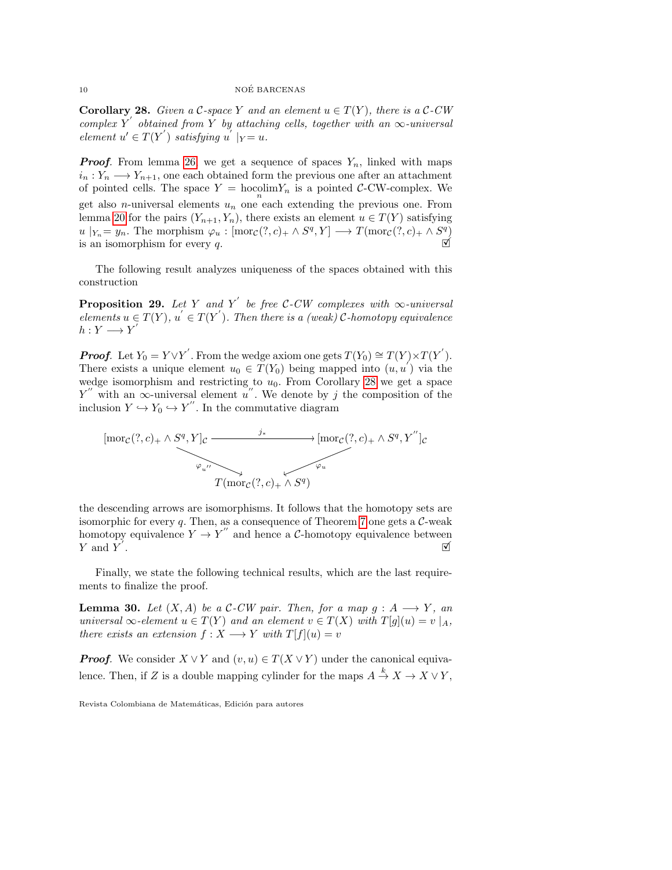#### 10 NOÉ BARCENAS

<span id="page-9-0"></span>**Corollary 28.** Given a C-space Y and an element  $u \in T(Y)$ , there is a C-CW complex Y' obtained from Y by attaching cells, together with an  $\infty$ -universal element  $u' \in T(Y')$  satisfying  $u' |_{Y} = u$ .

**Proof.** From lemma [26,](#page-8-0) we get a sequence of spaces  $Y_n$ , linked with maps  $i_n: Y_n \longrightarrow Y_{n+1}$ , one each obtained form the previous one after an attachment of pointed cells. The space  $Y = \text{hocolim} Y_n$  is a pointed C-CW-complex. We get also *n*-universal elements  $u_n$  one each extending the previous one. From lemma [20](#page-6-2) for the pairs  $(Y_{n+1}, Y_n)$ , there exists an element  $u \in T(Y)$  satisfying  $u \mid_{Y_n} = y_n$ . The morphism  $\varphi_u : [\text{mor}_{\mathcal{C}}(?, c)_+ \wedge S^q, Y] \longrightarrow T(\text{mor}_{\mathcal{C}}(?, c)_+ \wedge S^q)$ <br>is an isomorphism for every q.

The following result analyzes uniqueness of the spaces obtained with this construction

<span id="page-9-1"></span>**Proposition 29.** Let Y and Y' be free C-CW complexes with  $\infty$ -universal elements  $u \in T(Y)$ ,  $u' \in T(Y')$ . Then there is a (weak) C-homotopy equivalence  $h: Y \longrightarrow Y'$ 

**Proof.** Let  $Y_0 = Y \vee Y'$ . From the wedge axiom one gets  $T(Y_0) \cong T(Y) \times T(Y')$ . There exists a unique element  $u_0 \in \widetilde{T}(Y_0)$  being mapped into  $(u, u')$  via the wedge isomorphism and restricting to  $u_0$ . From Corollary [28](#page-9-0) we get a space  $Y''$  with an  $\infty$ -universal element u''. We denote by j the composition of the inclusion  $Y \hookrightarrow Y_0 \hookrightarrow Y''$ . In the commutative diagram



the descending arrows are isomorphisms. It follows that the homotopy sets are isomorphic for every q. Then, as a consequence of Theorem [7](#page-2-0) one gets a  $C$ -weak homotopy equivalence  $Y \to Y''$  and hence a C-homotopy equivalence between  $Y$  and  $\overline{Y}'$  $\overline{M}$ . Xarabara and the second of  $\overline{M}$ 

Finally, we state the following technical results, which are the last requirements to finalize the proof.

<span id="page-9-2"></span>**Lemma 30.** Let  $(X, A)$  be a C-CW pair. Then, for a map  $g : A \longrightarrow Y$ , an universal  $\infty$ -element  $u \in T(Y)$  and an element  $v \in T(X)$  with  $T[g](u) = v \mid_A$ , there exists an extension  $f: X \longrightarrow Y$  with  $T[f](u) = v$ 

**Proof.** We consider  $X \vee Y$  and  $(v, u) \in T(X \vee Y)$  under the canonical equivalence. Then, if Z is a double mapping cylinder for the maps  $A \stackrel{k}{\to} X \to X \vee Y$ ,

Revista Colombiana de Matemáticas, Edición para autores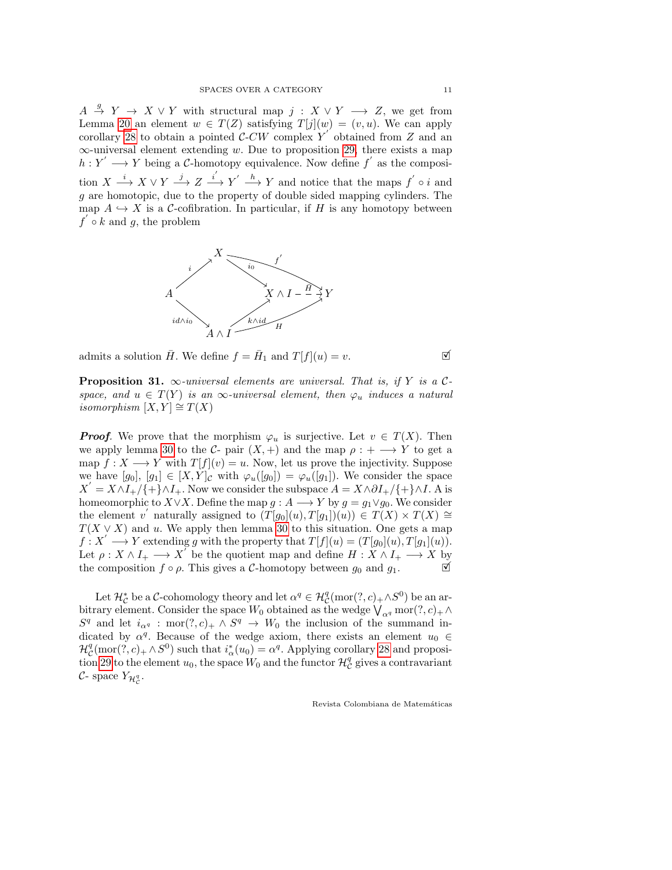$A \stackrel{g}{\rightarrow} Y \rightarrow X \vee Y$  with structural map  $j : X \vee Y \longrightarrow Z$ , we get from Lemma [20](#page-6-2) an element  $w \in T(Z)$  satisfying  $T[j](w) = (v, u)$ . We can apply corollary [28](#page-9-0) to obtain a pointed  $\mathcal{C}-CW$  complex  $Y'$  obtained from Z and an  $\infty$ -universal element extending w. Due to proposition [29,](#page-9-1) there exists a map  $h: Y' \longrightarrow Y$  being a C-homotopy equivalence. Now define f' as the composition  $X \xrightarrow{i} X \vee Y \xrightarrow{j} Z \xrightarrow{i'} Y' \xrightarrow{h} Y$  and notice that the maps  $f' \circ i$  and g are homotopic, due to the property of double sided mapping cylinders. The map  $A \hookrightarrow X$  is a C-cofibration. In particular, if H is any homotopy between  $f \circ k$  and g, the problem



admits a solution  $\overline{H}$ . We define  $f = \overline{H}_1$  and  $T[f](u) = v$ .

**Proposition 31.**  $\infty$ -universal elements are universal. That is, if Y is a Cspace, and  $u \in T(Y)$  is an  $\infty$ -universal element, then  $\varphi_u$  induces a natural isomorphism  $[X, Y] \cong T(X)$ 

**Proof.** We prove that the morphism  $\varphi_u$  is surjective. Let  $v \in T(X)$ . Then we apply lemma [30](#page-9-2) to the  $C$ - pair  $(X,+)$  and the map  $\rho : + \longrightarrow Y$  to get a map  $f: X \longrightarrow Y$  with  $T[f](v) = u$ . Now, let us prove the injectivity. Suppose we have  $[g_0], [g_1] \in [X, Y]_{\mathcal{C}}$  with  $\varphi_u([g_0]) = \varphi_u([g_1])$ . We consider the space  $X' = X \wedge I_+ / \{+\} \wedge I_+$ . Now we consider the subspace  $A = X \wedge \partial I_+ / \{+\} \wedge I$ . A is homeomorphic to  $X \vee X$ . Define the map  $g : A \longrightarrow Y$  by  $g = g_1 \vee g_0$ . We consider the element v' naturally assigned to  $(T[g_0](u), T[g_1])(u) \in T(X) \times T(X) \cong$  $T(X \vee X)$  and u. We apply then lemma [30](#page-9-2) to this situation. One gets a map  $f: X' \longrightarrow Y$  extending g with the property that  $T[f](u) = (T[g_0](u), T[g_1](u)).$ Let  $\rho: X \wedge I_+ \longrightarrow X'$  be the quotient map and define  $H: X \wedge I_+ \longrightarrow X$  by the composition  $f \circ \rho$ . This gives a C-homotopy between  $g_0$  and  $g_1$ .

Let  $\mathcal{H}_\mathcal{C}^*$  be a  $\mathcal{C}\text{-cohomology}$  theory and let  $\alpha^q \in \mathcal{H}_\mathcal{C}^q(\text{mor}(?, c)_+ \wedge S^0)$  be an arbitrary element. Consider the space  $W_0$  obtained as the wedge  $\bigvee_{\alpha^q} \text{mor}(?, c)_+ \wedge$  $S<sup>q</sup>$  and let  $i_{\alpha q}$ : mor $(?, c)_+ \wedge S<sup>q</sup> \rightarrow W_0$  the inclusion of the summand indicated by  $\alpha^q$ . Because of the wedge axiom, there exists an element  $u_0 \in$  $\mathcal{H}_{\mathcal{C}}^q(\text{mor}(?,c)_+ \wedge S^0)$  such that  $i_{\alpha}^*(u_0) = \alpha^q$ . Applying corollary [28](#page-9-0) and proposi-tion [29](#page-9-1) to the element  $u_0$ , the space  $W_0$  and the functor  $\mathcal{H}_{\mathcal{C}}^q$  gives a contravariant  $\mathcal{C}$ - space  $Y_{\mathcal{H}_{\mathcal{C}}^q}$ .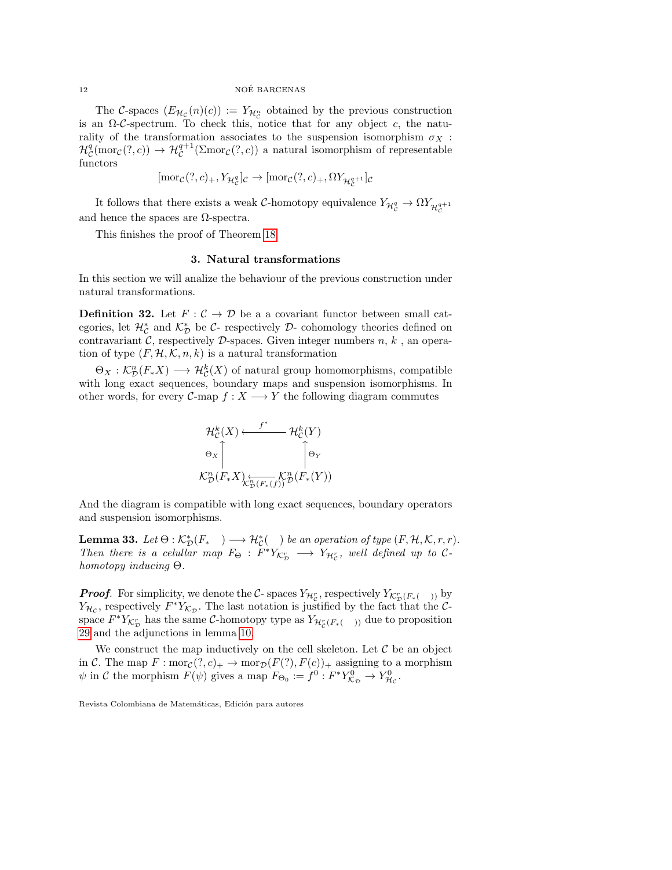The C-spaces  $(E_{\mathcal{H}_{\mathcal{C}}}(n)(c)) := Y_{\mathcal{H}_{\mathcal{C}}^n}$  obtained by the previous construction is an  $\Omega$ -C-spectrum. To check this, notice that for any object c, the naturality of the transformation associates to the suspension isomorphism  $\sigma_X$ :  $\mathcal{H}_{\mathcal{C}}^q(\text{mor}_{\mathcal{C}}(?,c)) \to \mathcal{H}_{\mathcal{C}}^{q+1}(\Sigma \text{mor}_{\mathcal{C}}(?,c))$  a natural isomorphism of representable functors

$$
[\text{mor}_{\mathcal{C}}(?, c)_+, Y_{\mathcal{H}_{\mathcal{C}}^q}]_{\mathcal{C}} \to [\text{mor}_{\mathcal{C}}(?, c)_+, \Omega Y_{\mathcal{H}_{\mathcal{C}}^{q+1}}]_{\mathcal{C}}
$$

It follows that there exists a weak  $\mathcal{C}\text{-homotopy}$  equivalence  $Y_{\mathcal{H}^q_C}\to \Omega Y_{\mathcal{H}^{q+1}_C}$ and hence the spaces are  $\Omega$ -spectra.

<span id="page-11-0"></span>This finishes the proof of Theorem [18](#page-6-1)

#### 3. Natural transformations

In this section we will analize the behaviour of the previous construction under natural transformations.

**Definition 32.** Let  $F: \mathcal{C} \to \mathcal{D}$  be a a covariant functor between small categories, let  $\mathcal{H}_{\mathcal{C}}^{*}$  and  $\mathcal{K}_{\mathcal{D}}^{*}$  be  $\mathcal{C}$ - respectively  $\mathcal{D}$ - cohomology theories defined on contravariant  $\mathcal{C}$ , respectively  $\mathcal{D}$ -spaces. Given integer numbers  $n, k$ , an operation of type  $(F, \mathcal{H}, \mathcal{K}, n, k)$  is a natural transformation

 $\Theta_X : \mathcal{K}_\mathcal{D}^n(F_*X) \longrightarrow \mathcal{H}_\mathcal{C}^k(X)$  of natural group homomorphisms, compatible with long exact sequences, boundary maps and suspension isomorphisms. In other words, for every  $C$ -map  $f : X \longrightarrow Y$  the following diagram commutes



And the diagram is compatible with long exact sequences, boundary operators and suspension isomorphisms.

<span id="page-11-1"></span>**Lemma 33.** Let  $\Theta : \mathcal{K}_{\mathcal{D}}^*(F_{*}) \longrightarrow \mathcal{H}_{\mathcal{C}}^*(\ )$  be an operation of type  $(F, \mathcal{H}, \mathcal{K}, r, r)$ . Then there is a celullar map  $F_{\Theta} : F^* Y_{\mathcal{K}_{\mathcal{D}}^r} \longrightarrow Y_{\mathcal{H}_{\mathcal{C}}^r}$ , well defined up to Chomotopy inducing Θ.

**Proof.** For simplicity, we denote the  $C$ - spaces  $Y_{\mathcal{H}_C^r}$ , respectively  $Y_{\mathcal{K}_D^r(F_*(-))}$  by  $Y_{\mathcal{H}_{\mathcal{C}}}$ , respectively  $F^*Y_{\mathcal{K}_{\mathcal{D}}}$ . The last notation is justified by the fact that the Cspace  $F^*Y_{\mathcal{K}_{\mathcal{D}}^r}$  has the same  $\mathcal{C}$ -homotopy type as  $Y_{\mathcal{H}_{\mathcal{C}}^r(F_*(-))}$  due to proposition [29](#page-9-1) and the adjunctions in lemma [10.](#page-3-1)

We construct the map inductively on the cell skeleton. Let  $\mathcal C$  be an object in C. The map  $F: \text{mor}_{\mathcal{C}}(?, c)_+ \to \text{mor}_{\mathcal{D}}(F(?, F(c))_+$  assigning to a morphism  $\psi$  in C the morphism  $F(\psi)$  gives a map  $F_{\Theta_0} := f^0 : F^* Y_{\mathcal{K}_{\mathcal{D}}}^0 \to Y_{\mathcal{H}_{\mathcal{C}}}^0$ .

Revista Colombiana de Matemáticas, Edición para autores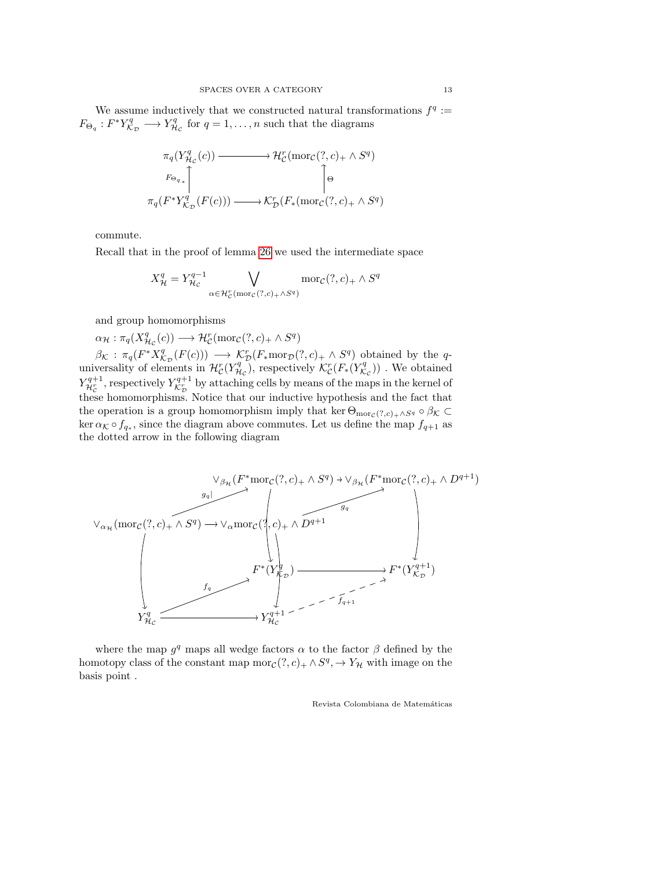We assume inductively that we constructed natural transformations  $f^q$ :  $F_{\Theta_q}: F^*Y_{\mathcal{K}_{\mathcal{D}}}^q \longrightarrow Y_{\mathcal{H}_{\mathcal{C}}}^q$  for  $q = 1, \ldots, n$  such that the diagrams

$$
\pi_q(Y_{\mathcal{H}_\mathcal{C}}^q(c)) \longrightarrow \mathcal{H}_\mathcal{C}^r(\text{mor}_\mathcal{C}(?, c)_+ \wedge S^q)
$$
\n
$$
\uparrow_{\Theta_{q_*}\uparrow} \uparrow_{\mathcal{H}_\mathcal{D}} \uparrow_{\Theta_{q}} \uparrow_{\mathcal{H}_\mathcal{D}} \uparrow_{\Theta_{q_*}\uparrow} \uparrow_{\Theta_{q_*}\uparrow_{\mathcal{H}_\mathcal{D}}(F_*(\text{mor}_\mathcal{C}(?, c)_+ \wedge S^q))
$$

commute.

Recall that in the proof of lemma [26](#page-8-0) we used the intermediate space

$$
X_{\mathcal{H}}^q = Y_{\mathcal{H}_c}^{q-1} \bigvee_{\alpha \in \mathcal{H}_c^r(\text{mor}_c(?, c)_+ \land S^q)} \text{mor}_c(?, c)_+ \land S^q
$$

and group homomorphisms

 $\alpha_{\mathcal{H}} : \pi_q(X_{\mathcal{H}_\mathcal{C}}^q(c)) \longrightarrow \mathcal{H}_\mathcal{C}^r(\text{mor}_\mathcal{C}(?, c)_+ \wedge S^q)$ 

 $\beta_{\mathcal{K}} : \pi_q(F^*X_{\mathcal{K}_{\mathcal{D}}}^q(F(c))) \longrightarrow \mathcal{K}_{\mathcal{D}}^r(F_*\text{mor}_{\mathcal{D}}(?,c)_+ \wedge S^q)$  obtained by the quniversality of elements in  $\mathcal{H}_{\mathcal{C}}^r(Y_{\mathcal{H}_{\mathcal{C}}}^q)$ , respectively  $\mathcal{K}_{\mathcal{C}}^r(F_*(Y_{\mathcal{K}_{\mathcal{C}}}^q))$ . We obtained  $Y_{\mathcal{H}_c^r}^{q+1}$ , respectively  $Y_{\mathcal{K}_D^r}^{q+1}$  by attaching cells by means of the maps in the kernel of these homomorphisms. Notice that our inductive hypothesis and the fact that the operation is a group homomorphism imply that ker  $\Theta_{\text{mor}_\mathcal{C}(?,c)_+\wedge S^q} \circ \beta_{\mathcal{K}} \subset$  $\ker \alpha_{\mathcal{K}} \circ f_{q_*}$ , since the diagram above commutes. Let us define the map  $f_{q+1}$  as the dotted arrow in the following diagram



where the map  $g<sup>q</sup>$  maps all wedge factors  $\alpha$  to the factor  $\beta$  defined by the homotopy class of the constant map  $\text{mor}_{\mathcal{C}}(?, c)_+ \wedge S^q, \rightarrow Y_{\mathcal{H}}$  with image on the basis point .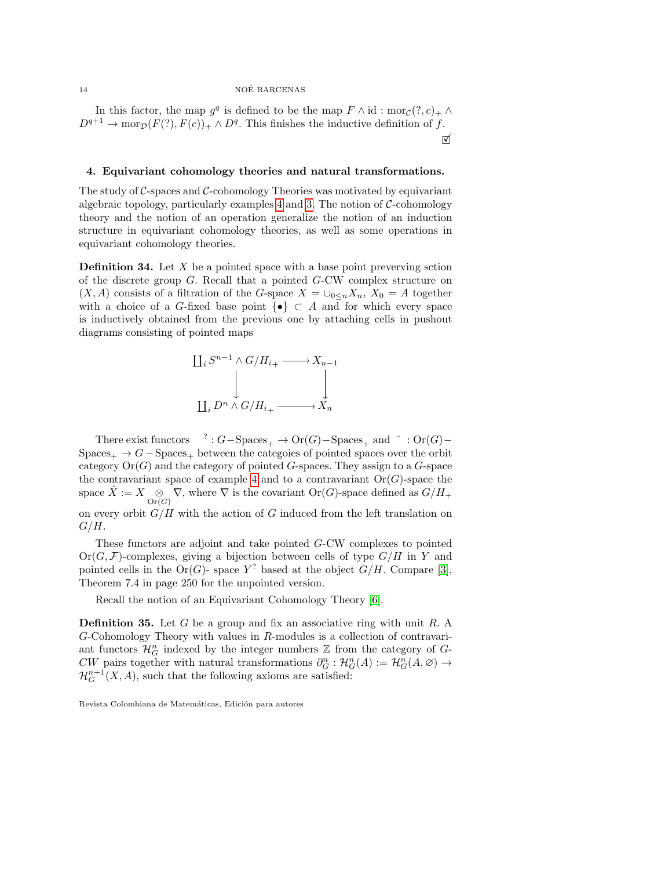In this factor, the map  $g^q$  is defined to be the map  $F \wedge id : \text{mor}_{\mathcal{C}}(?, c)_+ \wedge$  $D^{q+1} \to \text{mor}_{\mathcal{D}}(F(?), F(c))_+ \wedge D^q$ . This finishes the inductive definition of f.  $\Delta$ 

#### <span id="page-13-0"></span>4. Equivariant cohomology theories and natural transformations.

The study of  $\mathcal{C}$ -spaces and  $\mathcal{C}$ -cohomology Theories was motivated by equivariant algebraic topology, particularly examples  $4$  and  $3$ . The notion of  $C$ -cohomology theory and the notion of an operation generalize the notion of an induction structure in equivariant cohomology theories, as well as some operations in equivariant cohomology theories.

**Definition 34.** Let  $X$  be a pointed space with a base point preverving sction of the discrete group G. Recall that a pointed G-CW complex structure on  $(X, A)$  consists of a filtration of the G-space  $X = \bigcup_{0 \leq n} X_n$ ,  $X_0 = A$  together with a choice of a G-fixed base point  $\{\bullet\} \subset A$  and for which every space is inductively obtained from the previous one by attaching cells in pushout diagrams consisting of pointed maps

$$
\coprod_{i} S^{n-1} \wedge G/H_{i+} \xrightarrow{\qquad} X_{n-1}
$$

$$
\bigcup_{\coprod_{i} D^{n} \wedge G/H_{i+}} \xrightarrow{\qquad} X_{n}
$$

There exist functors  ${}^{?}: G-\text{Spaces}_+ \to \text{Or}(G)-\text{Spaces}_+$  and  ${}^{>}: \text{Or}(G) Spaces_+ \rightarrow G-Spaces_+$  between the categoies of pointed spaces over the orbit category  $Or(G)$  and the category of pointed G-spaces. They assign to a G-space the contravariant space of example [4](#page-1-1) and to a contravariant  $Or(G)$ -space the space  $\hat{X} := X \underset{\text{Or}(G)}{\otimes} \nabla$ , where  $\nabla$  is the covariant  $\text{Or}(G)$ -space defined as  $G/H_+$ on every orbit  $G/H$  with the action of G induced from the left translation on  $G/H$ .

These functors are adjoint and take pointed G-CW complexes to pointed  $Or(G, \mathcal{F})$ -complexes, giving a bijection between cells of type  $G/H$  in Y and pointed cells in the Or(G)- space  $Y^?$  based at the object  $G/H$ . Compare [\[3\]](#page-18-2), Theorem 7.4 in page 250 for the unpointed version.

Recall the notion of an Equivariant Cohomology Theory [\[6\]](#page-18-7).

**Definition 35.** Let  $G$  be a group and fix an associative ring with unit  $R$ . A G-Cohomology Theory with values in R-modules is a collection of contravariant functors  $\mathcal{H}_G^n$  indexed by the integer numbers  $\mathbb Z$  from the category of  $G$ -CW pairs together with natural transformations  $\partial_G^n : \mathcal{H}^n_G(A) := \mathcal{H}^n_G(A, \varnothing) \to$  $\mathcal{H}^{n+1}_{G}(X, A)$ , such that the following axioms are satisfied:

Revista Colombiana de Matemáticas, Edición para autores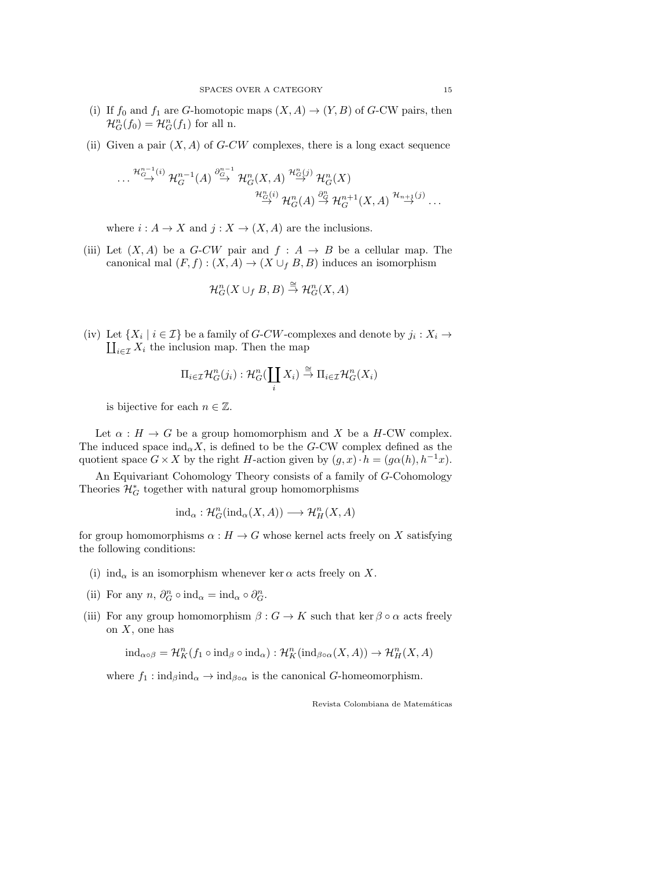- (i) If  $f_0$  and  $f_1$  are G-homotopic maps  $(X, A) \to (Y, B)$  of G-CW pairs, then  $\mathcal{H}_G^n(f_0) = \mathcal{H}_G^n(f_1)$  for all n.
- (ii) Given a pair  $(X, A)$  of G-CW complexes, there is a long exact sequence

$$
\cdots \stackrel{\mathcal{H}^{n-1}_{G}(i)}{\rightarrow} \mathcal{H}^{n-1}_{G}(A) \stackrel{\partial^{n-1}_{G}}{\rightarrow} \mathcal{H}^{n}_{G}(X, A) \stackrel{\mathcal{H}^{n}_{G}(j)}{\rightarrow} \mathcal{H}^{n}_{G}(X) \\
\stackrel{\mathcal{H}^{n}_{G}(i)}{\rightarrow} \mathcal{H}^{n}_{G}(A) \stackrel{\partial^{n}_{G}}{\rightarrow} \mathcal{H}^{n+1}_{G}(X, A) \stackrel{\mathcal{H}_{n+1}(j)}{\rightarrow} \cdots
$$

where  $i : A \to X$  and  $j : X \to (X, A)$  are the inclusions.

(iii) Let  $(X, A)$  be a G-CW pair and  $f : A \rightarrow B$  be a cellular map. The canonical mal  $(F, f) : (X, A) \to (X \cup_f B, B)$  induces an isomorphism

$$
\mathcal{H}_G^n(X \cup_f B, B) \stackrel{\cong}{\to} \mathcal{H}_G^n(X, A)
$$

(iv) Let  $\{X_i \mid i \in \mathcal{I}\}$  be a family of *G-CW*-complexes and denote by  $j_i : X_i \to \prod_{i \in \mathcal{I}} X_i$  the inclusion map. Then the map  $\coprod_{i\in\mathcal{I}} X_i$  the inclusion map. Then the map

$$
\Pi_{i \in \mathcal{I}} \mathcal{H}_G^n(j_i) : \mathcal{H}_G^n(\coprod_i X_i) \stackrel{\cong}{\to} \Pi_{i \in \mathcal{I}} \mathcal{H}_G^n(X_i)
$$

is bijective for each  $n \in \mathbb{Z}$ .

Let  $\alpha : H \to G$  be a group homomorphism and X be a H-CW complex. The induced space  $\text{ind}_{\alpha} X$ , is defined to be the G-CW complex defined as the quotient space  $G \times X$  by the right H-action given by  $(g, x) \cdot h = (g \alpha(h), h^{-1}x)$ .

An Equivariant Cohomology Theory consists of a family of G-Cohomology Theories  $\mathcal{H}^*_G$  together with natural group homomorphisms

$$
\mathrm{ind}_\alpha:\mathcal{H}^n_G(\mathrm{ind}_\alpha(X,A))\longrightarrow\mathcal{H}^n_H(X,A)
$$

for group homomorphisms  $\alpha : H \to G$  whose kernel acts freely on X satisfying the following conditions:

- (i) ind<sub> $\alpha$ </sub> is an isomorphism whenever ker  $\alpha$  acts freely on X.
- (ii) For any  $n, \partial_G^n \circ \text{ind}_{\alpha} = \text{ind}_{\alpha} \circ \partial_G^n$ .
- (iii) For any group homomorphism  $\beta: G \to K$  such that ker  $\beta \circ \alpha$  acts freely on  $X$ , one has

$$
ind_{\alpha \circ \beta} = \mathcal{H}_K^n(f_1 \circ ind_{\beta} \circ ind_{\alpha}) : \mathcal{H}_K^n(ind_{\beta \circ \alpha}(X, A)) \to \mathcal{H}_H^n(X, A)
$$

where  $f_1: \text{ind}_{\beta} \text{ind}_{\alpha} \to \text{ind}_{\beta \circ \alpha}$  is the canonical G-homeomorphism.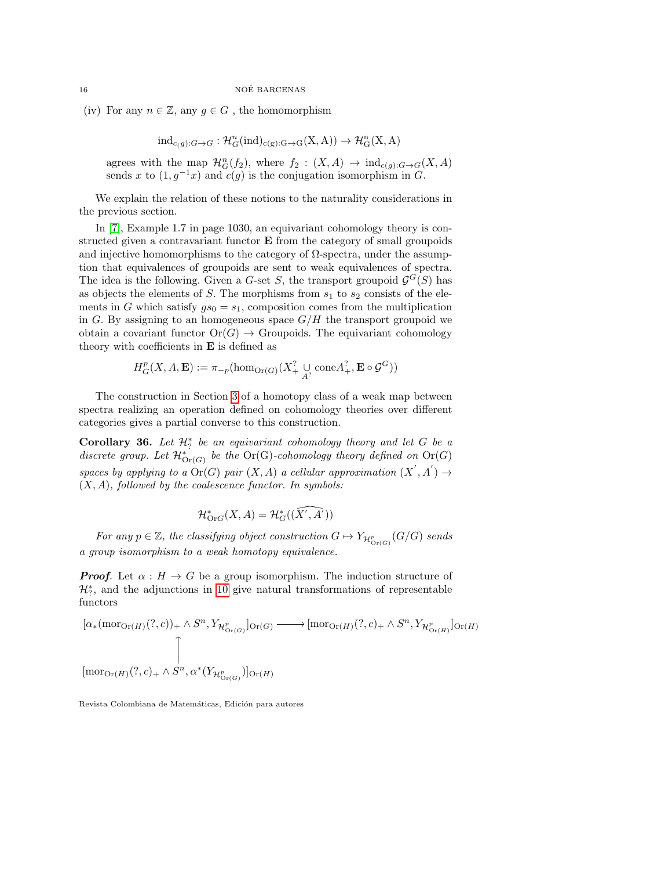(iv) For any  $n \in \mathbb{Z}$ , any  $g \in G$ , the homomorphism

 $\mathrm{ind}_{c(g):G\to G}: \mathcal{H}_G^n(\mathrm{ind})_{c(g):G\to G}(X,A))\to \mathcal{H}_G^n(X,A)$ 

agrees with the map  $\mathcal{H}_G^n(f_2)$ , where  $f_2: (X,A) \to \text{ind}_{c(g):G \to G}(X,A)$ sends x to  $(1, g^{-1}x)$  and  $c(g)$  is the conjugation isomorphism in G.

We explain the relation of these notions to the naturality considerations in the previous section.

In [\[7\]](#page-18-8), Example 1.7 in page 1030, an equivariant cohomology theory is constructed given a contravariant functor E from the category of small groupoids and injective homomorphisms to the category of  $\Omega$ -spectra, under the assumption that equivalences of groupoids are sent to weak equivalences of spectra. The idea is the following. Given a G-set S, the transport groupoid  $\mathcal{G}^G(S)$  has as objects the elements of  $S$ . The morphisms from  $s_1$  to  $s_2$  consists of the elements in G which satisfy  $gs_0 = s_1$ , composition comes from the multiplication in G. By assigning to an homogeneous space  $G/H$  the transport groupoid we obtain a covariant functor  $\text{Or}(G) \to \text{Groupoids}$ . The equivariant cohomology theory with coefficients in  $E$  is defined as

$$
H^p_G(X, A, \mathbf{E}) := \pi_{-p}(\hom_{\text{Or}(G)}(X^?_{+} \underset{A^?}{\cup} \text{cone}A^?_{+}, \mathbf{E} \circ \mathcal{G}^G))
$$

The construction in Section [3](#page-11-0) of a homotopy class of a weak map between spectra realizing an operation defined on cohomology theories over different categories gives a partial converse to this construction.

<span id="page-15-0"></span>Corollary 36. Let  $\mathcal{H}_?^*$  be an equivariant cohomology theory and let G be a discrete group. Let  $\mathcal{H}^*_{\text{Or}(G)}$  be the Or(G)-cohomology theory defined on Or(G) spaces by applying to a  $\text{Or}(G)$  pair  $(X, A)$  a cellular approximation  $(X', A') \rightarrow$  $(X, A)$ , followed by the coalescence functor. In symbols:

$$
\mathcal{H}^*_{\text{Or}G}(X, A) = \mathcal{H}^*_G((\widehat{X', A'}))
$$

For any  $p \in \mathbb{Z}$ , the classifying object construction  $G \mapsto Y_{\mathcal{H}^p_{\text{Or}(G)}}(G/G)$  sends a group isomorphism to a weak homotopy equivalence.

**Proof.** Let  $\alpha : H \to G$  be a group isomorphism. The induction structure of  $\mathcal{H}_7^*$ , and the adjunctions in [10](#page-3-1) give natural transformations of representable functors

$$
[\alpha_*(\mathrm{mor}_{\mathrm{Or}(H)}(?,c))_{+} \wedge S^n, Y_{\mathcal{H}^p_{\mathrm{Or}(G)}}]_{\mathrm{Or}(G)} \longrightarrow [\mathrm{mor}_{\mathrm{Or}(H)}(?,c)_{+} \wedge S^n, Y_{\mathcal{H}^p_{\mathrm{Or}(H)}}]_{\mathrm{Or}(H)}
$$
  
\n
$$
\uparrow
$$
  
\n
$$
[\mathrm{mor}_{\mathrm{Or}(H)}(?,c)_{+} \wedge S^n, \alpha^*(Y_{\mathcal{H}^p_{\mathrm{Or}(G)}})]_{\mathrm{Or}(H)}
$$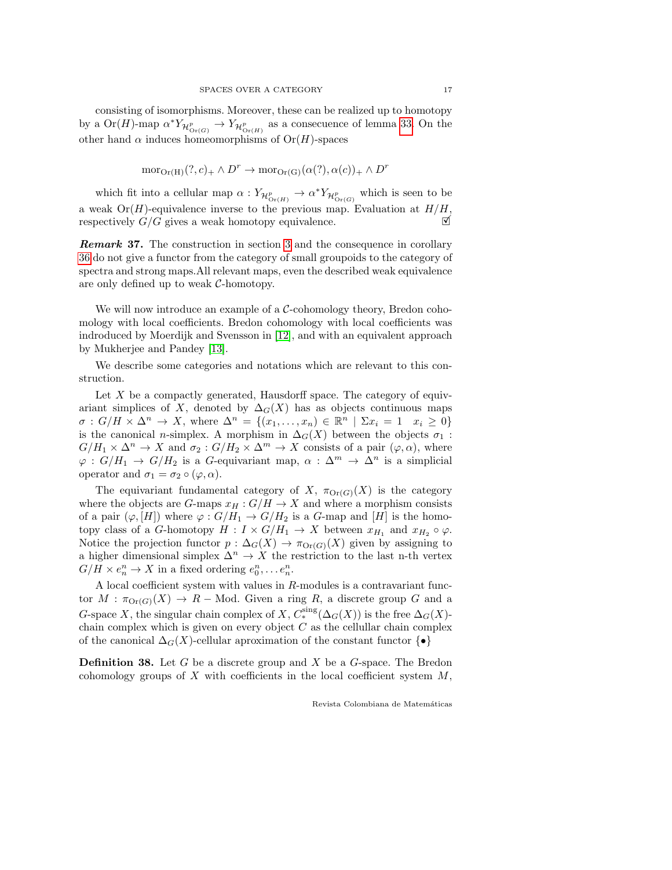consisting of isomorphisms. Moreover, these can be realized up to homotopy by a  $\text{Or}(H)$ -map  $\alpha^* Y_{\mathcal{H}^p_{\text{Or}(G)}} \to Y_{\mathcal{H}^p_{\text{Or}(H)}}$  as a consecuence of lemma [33.](#page-11-1) On the other hand  $\alpha$  induces homeomorphisms of  $Or(H)$ -spaces

$$
\mathrm{mor}_{\mathrm{Or}(\mathrm{H})}(?,c)_+ \wedge D^r \to \mathrm{mor}_{\mathrm{Or}(\mathrm{G})}(\alpha(?),\alpha(c))_+ \wedge D^r
$$

which fit into a cellular map  $\alpha: Y_{\mathcal{H}^p_{\text{Or}(H)}} \to \alpha^* Y_{\mathcal{H}^p_{\text{Or}(G)}}$  which is seen to be a weak  $Or(H)$ -equivalence inverse to the previous map. Evaluation at  $H/H$ , respectively  $G/G$  gives a weak homotopy equivalence.

Remark 37. The construction in section [3](#page-11-0) and the consequence in corollary [36](#page-15-0) do not give a functor from the category of small groupoids to the category of spectra and strong maps.All relevant maps, even the described weak equivalence are only defined up to weak C-homotopy.

We will now introduce an example of a  $\mathcal{C}\text{-cohomology}$  theory, Bredon cohomology with local coefficients. Bredon cohomology with local coefficients was indroduced by Moerdijk and Svensson in [\[12\]](#page-18-9), and with an equivalent approach by Mukherjee and Pandey [\[13\]](#page-19-0).

We describe some categories and notations which are relevant to this construction.

Let  $X$  be a compactly generated, Hausdorff space. The category of equivariant simplices of X, denoted by  $\Delta_G(X)$  has as objects continuous maps  $\sigma: G/H \times \Delta^n \to X$ , where  $\Delta^n = \{(x_1, \ldots, x_n) \in \mathbb{R}^n \mid \Sigma x_i = 1 \mid x_i \geq 0\}$ is the canonical n-simplex. A morphism in  $\Delta_G(X)$  between the objects  $\sigma_1$ :  $G/H_1 \times \Delta^n \to X$  and  $\sigma_2 : G/H_2 \times \Delta^m \to X$  consists of a pair  $(\varphi, \alpha)$ , where  $\varphi: G/H_1 \to G/H_2$  is a G-equivariant map,  $\alpha: \Delta^m \to \Delta^n$  is a simplicial operator and  $\sigma_1 = \sigma_2 \circ (\varphi, \alpha)$ .

The equivariant fundamental category of X,  $\pi_{\text{Or}(G)}(X)$  is the category where the objects are G-maps  $x_H : G/H \to X$  and where a morphism consists of a pair  $(\varphi, [H])$  where  $\varphi : G/H_1 \to G/H_2$  is a G-map and  $[H]$  is the homotopy class of a G-homotopy  $H : I \times G/H_1 \to X$  between  $x_{H_1}$  and  $x_{H_2} \circ \varphi$ . Notice the projection functor  $p : \Delta_G(X) \to \pi_{\text{Or}(G)}(X)$  given by assigning to a higher dimensional simplex  $\Delta^n \to X$  the restriction to the last n-th vertex  $G/H \times e_n^n \to X$  in a fixed ordering  $e_0^n, \ldots e_n^n$ .

A local coefficient system with values in  $R$ -modules is a contravariant functor  $M : \pi_{\text{Or}(G)}(X) \to R$  – Mod. Given a ring R, a discrete group G and a G-space X, the singular chain complex of X,  $C_*^{\text{sing}}(\Delta_G(X))$  is the free  $\Delta_G(X)$ chain complex which is given on every object  $C$  as the cellullar chain complex of the canonical  $\Delta_G(X)$ -cellular aproximation of the constant functor  $\{\bullet\}$ 

**Definition 38.** Let G be a discrete group and X be a  $G$ -space. The Bredon cohomology groups of X with coefficients in the local coefficient system  $M$ ,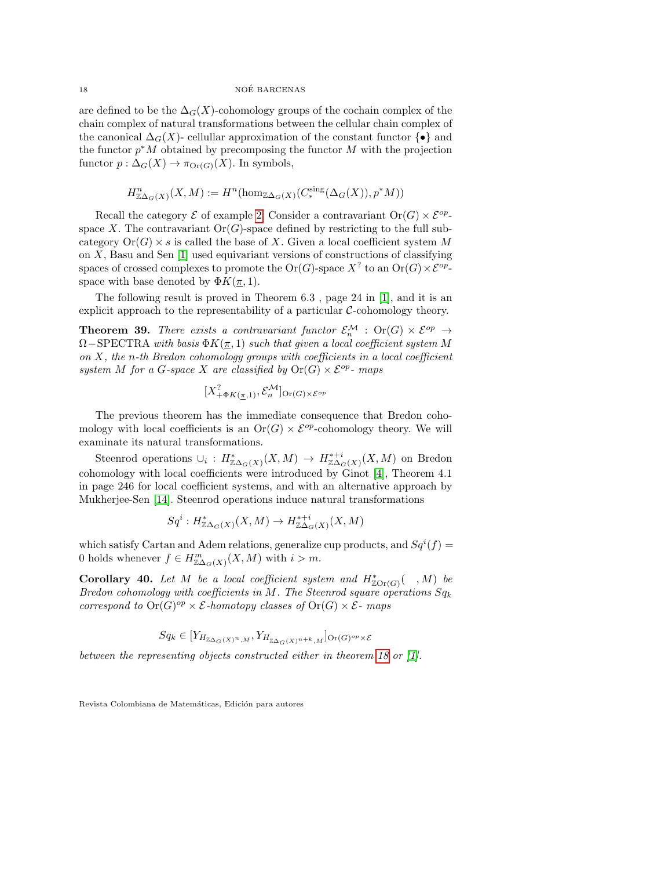are defined to be the  $\Delta_G(X)$ -cohomology groups of the cochain complex of the chain complex of natural transformations between the cellular chain complex of the canonical  $\Delta_G(X)$ - cellullar approximation of the constant functor  $\{\bullet\}$  and the functor  $p^*M$  obtained by precomposing the functor M with the projection functor  $p : \Delta_G(X) \to \pi_{\text{Or}(G)}(X)$ . In symbols,

$$
H^{n}_{\mathbb{Z}\Delta_G(X)}(X,M):=H^n(\hom_{\mathbb{Z}\Delta_G(X)}(C_*^{\rm sing}(\Delta_G(X)),p^*M))
$$

Recall the category  $\mathcal E$  of example [2.](#page-1-3) Consider a contravariant  $\text{Or}(G) \times \mathcal E^{op}$ space X. The contravariant  $\text{Or}(G)$ -space defined by restricting to the full subcategory  $Or(G) \times s$  is called the base of X. Given a local coefficient system M on  $X$ , Basu and Sen  $[1]$  used equivariant versions of constructions of classifying spaces of crossed complexes to promote the  $Or(G)$ -space  $X^?$  to an  $Or(G) \times \mathcal{E}^{op}$ space with base denoted by  $\Phi K(\pi, 1)$ .

The following result is proved in Theorem 6.3 , page 24 in [\[1\]](#page-18-10), and it is an explicit approach to the representability of a particular  $C$ -cohomology theory.

**Theorem 39.** There exists a contravariant functor  $\mathcal{E}_n^{\mathcal{M}}$  :  $\text{Or}(G) \times \mathcal{E}^{op} \rightarrow$  $\Omega$ −SPECTRA with basis  $\Phi K(\pi, 1)$  such that given a local coefficient system M on  $X$ , the n-th Bredon cohomology groups with coefficients in a local coefficient system M for a G-space X are classified by  $Or(G) \times \mathcal{E}^{op}$ - maps

$$
[X^?_{+\Phi K(\underline{\pi},1)}, \mathcal{E}_n^{\mathcal{M}}]_{\text{Or}(G)\times \mathcal{E}^{op}}
$$

The previous theorem has the immediate consequence that Bredon cohomology with local coefficients is an  $Or(G) \times \mathcal{E}^{op}$ -cohomology theory. We will examinate its natural transformations.

Steenrod operations  $\cup_i: H^*_{\mathbb{Z}\Delta_G(X)}(X,M) \to H^{*+i}_{\mathbb{Z}\Delta_G(X)}(X,M)$  on Bredon cohomology with local coefficients were introduced by Ginot [\[4\]](#page-18-11), Theorem 4.1 in page 246 for local coefficient systems, and with an alternative approach by Mukherjee-Sen [\[14\]](#page-19-1). Steenrod operations induce natural transformations

$$
Sq^i: H^*_{\mathbb{Z}\Delta_G(X)}(X,M) \to H^{*+i}_{\mathbb{Z}\Delta_G(X)}(X,M)
$$

which satisfy Cartan and Adem relations, generalize cup products, and  $Sq^{i}(f)$  = 0 holds whenever  $f \in H_{\mathbb{Z}\Delta_G(X)}^m(X,M)$  with  $i > m$ .

**Corollary 40.** Let M be a local coefficient system and  $H^*_{\mathbb{Z} \text{Or}(G)}($ , M) be Bredon cohomology with coefficients in M. The Steenrod square operations  $Sq_k$ correspond to  $\text{Or}(G)^{op} \times \mathcal{E}$ -homotopy classes of  $\text{Or}(G) \times \mathcal{E}$ -maps

$$
Sq_k \in [Y_{H_{\mathbb{Z}\Delta_G(X)^n,M}}, Y_{H_{\mathbb{Z}\Delta_G(X)^{n+k},M}}]_{\text{Or}(G)^{op} \times \mathcal{E}}
$$

between the representing objects constructed either in theorem [18](#page-6-1) or [\[1\]](#page-18-10).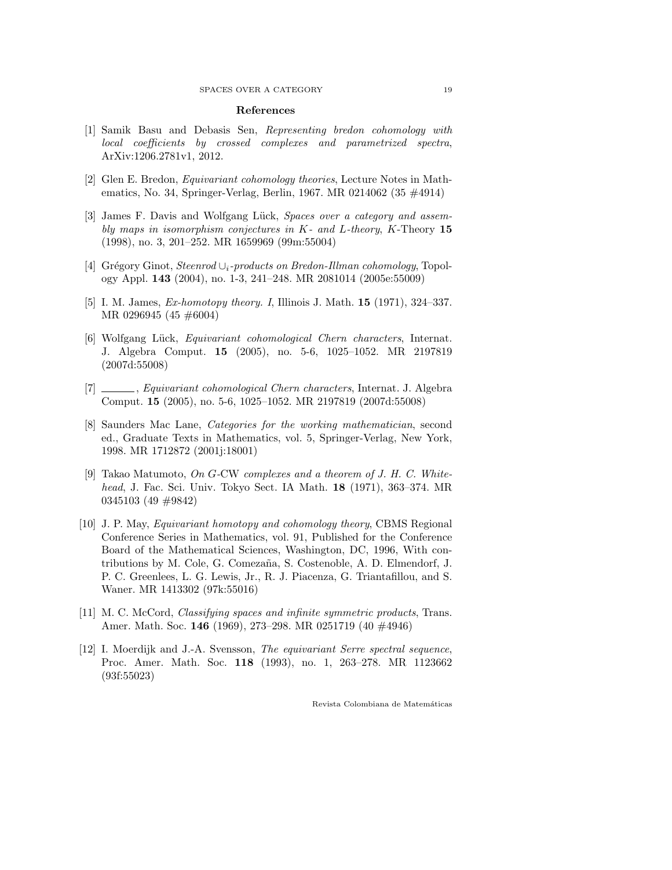#### References

- <span id="page-18-10"></span>[1] Samik Basu and Debasis Sen, Representing bredon cohomology with local coefficients by crossed complexes and parametrized spectra, ArXiv:1206.2781v1, 2012.
- <span id="page-18-5"></span>[2] Glen E. Bredon, Equivariant cohomology theories, Lecture Notes in Mathematics, No. 34, Springer-Verlag, Berlin, 1967. MR 0214062 (35 #4914)
- <span id="page-18-2"></span>[3] James F. Davis and Wolfgang Lück, Spaces over a category and assembly maps in isomorphism conjectures in K- and L-theory, K-Theory 15 (1998), no. 3, 201–252. MR 1659969 (99m:55004)
- <span id="page-18-11"></span>[4] Grégory Ginot, Steenrod  $\cup_i$ -products on Bredon-Illman cohomology, Topology Appl. 143 (2004), no. 1-3, 241–248. MR 2081014 (2005e:55009)
- <span id="page-18-4"></span>[5] I. M. James, *Ex-homotopy theory. I*, Illinois J. Math. **15** (1971), 324–337. MR 0296945 (45 #6004)
- <span id="page-18-7"></span>[6] Wolfgang Lück, Equivariant cohomological Chern characters, Internat. J. Algebra Comput. 15 (2005), no. 5-6, 1025–1052. MR 2197819 (2007d:55008)
- <span id="page-18-8"></span>[7] , Equivariant cohomological Chern characters, Internat. J. Algebra Comput. 15 (2005), no. 5-6, 1025–1052. MR 2197819 (2007d:55008)
- <span id="page-18-6"></span>[8] Saunders Mac Lane, Categories for the working mathematician, second ed., Graduate Texts in Mathematics, vol. 5, Springer-Verlag, New York, 1998. MR 1712872 (2001j:18001)
- <span id="page-18-0"></span>[9] Takao Matumoto, On G-CW complexes and a theorem of J. H. C. Whitehead, J. Fac. Sci. Univ. Tokyo Sect. IA Math. 18 (1971), 363–374. MR 0345103 (49 #9842)
- <span id="page-18-1"></span>[10] J. P. May, *Equivariant homotopy and cohomology theory*, CBMS Regional Conference Series in Mathematics, vol. 91, Published for the Conference Board of the Mathematical Sciences, Washington, DC, 1996, With contributions by M. Cole, G. Comezaña, S. Costenoble, A. D. Elmendorf, J. P. C. Greenlees, L. G. Lewis, Jr., R. J. Piacenza, G. Triantafillou, and S. Waner. MR 1413302 (97k:55016)
- <span id="page-18-3"></span>[11] M. C. McCord, *Classifying spaces and infinite symmetric products*, Trans. Amer. Math. Soc. 146 (1969), 273–298. MR 0251719 (40 #4946)
- <span id="page-18-9"></span>[12] I. Moerdijk and J.-A. Svensson, The equivariant Serre spectral sequence, Proc. Amer. Math. Soc. 118 (1993), no. 1, 263–278. MR 1123662 (93f:55023)